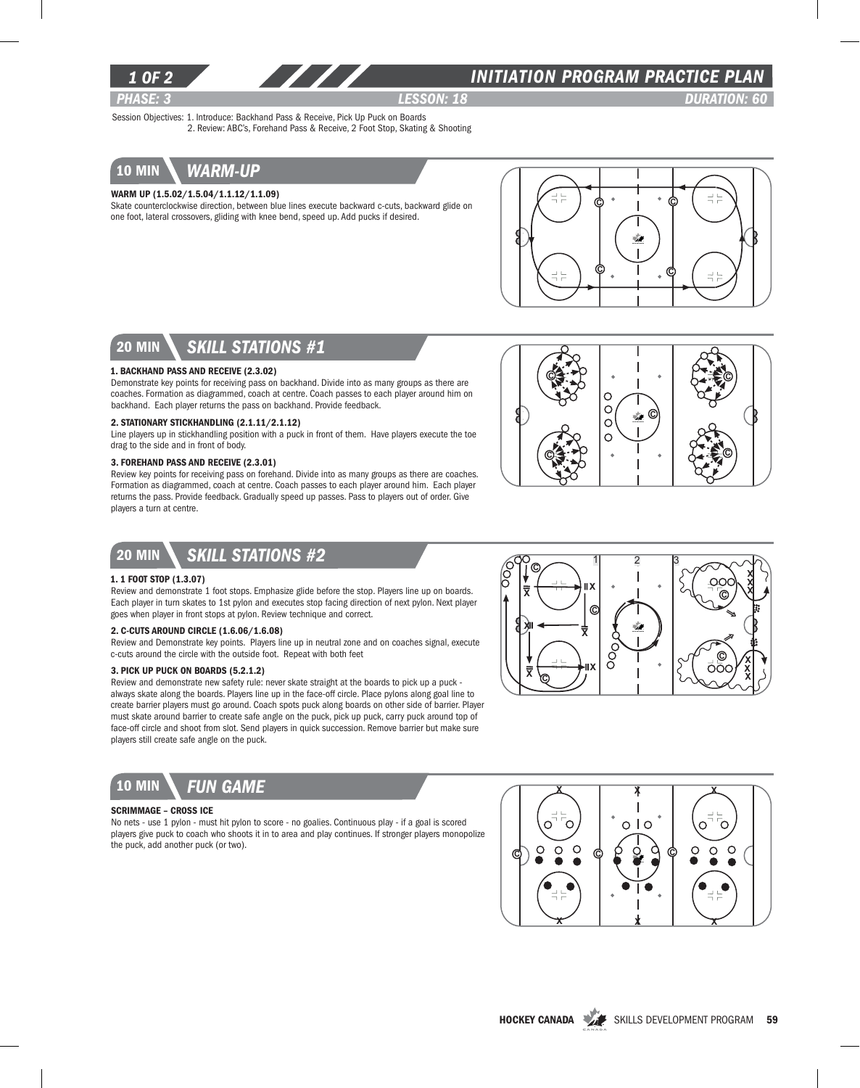

## *INITIATION program PRACTICE PLAN*

*PHASE: 3 lesson: 18 DURATION: 60* 

Session Objectives: 1. Introduce: Backhand Pass & Receive, Pick Up Puck on Boards 2. Review: ABC's, Forehand Pass & Receive, 2 Foot Stop, Skating & Shooting



### Warm Up (1.5.02/1.5.04/1.1.12/1.1.09)

Skate counterclockwise direction, between blue lines execute backward c-cuts, backward glide on one foot, lateral crossovers, gliding with knee bend, speed up. Add pucks if desired.



## 20 min *skill stations #1*

#### 1. Backhand Pass and Receive (2.3.02)

Demonstrate key points for receiving pass on backhand. Divide into as many groups as there are coaches. Formation as diagrammed, coach at centre. Coach passes to each player around him on backhand. Each player returns the pass on backhand. Provide feedback.

#### 2. Stationary Stickhandling (2.1.11/2.1.12)

Line players up in stickhandling position with a puck in front of them. Have players execute the toe drag to the side and in front of body.

#### 3. Forehand Pass and Receive (2.3.01)

Review key points for receiving pass on forehand. Divide into as many groups as there are coaches. Formation as diagrammed, coach at centre. Coach passes to each player around him. Each player returns the pass. Provide feedback. Gradually speed up passes. Pass to players out of order. Give players a turn at centre.



# 20 min *Skill stations #2*

#### 1. 1 Foot Stop (1.3.07)

Review and demonstrate 1 foot stops. Emphasize glide before the stop. Players line up on boards. Each player in turn skates to 1st pylon and executes stop facing direction of next pylon. Next player goes when player in front stops at pylon. Review technique and correct.

### 2. C-Cuts Around Circle (1.6.06/1.6.08)

Review and Demonstrate key points. Players line up in neutral zone and on coaches signal, execute c-cuts around the circle with the outside foot. Repeat with both feet

### 3. Pick Up Puck on Boards (5.2.1.2)

Review and demonstrate new safety rule: never skate straight at the boards to pick up a puck always skate along the boards. Players line up in the face-off circle. Place pylons along goal line to create barrier players must go around. Coach spots puck along boards on other side of barrier. Player must skate around barrier to create safe angle on the puck, pick up puck, carry puck around top of face-off circle and shoot from slot. Send players in quick succession. Remove barrier but make sure players still create safe angle on the puck.



### Scrimmage – Cross Ice

No nets - use 1 pylon - must hit pylon to score - no goalies. Continuous play - if a goal is scored players give puck to coach who shoots it in to area and play continues. If stronger players monopolize the puck, add another puck (or two).



 $1 \quad 2 \quad 3$ 

C